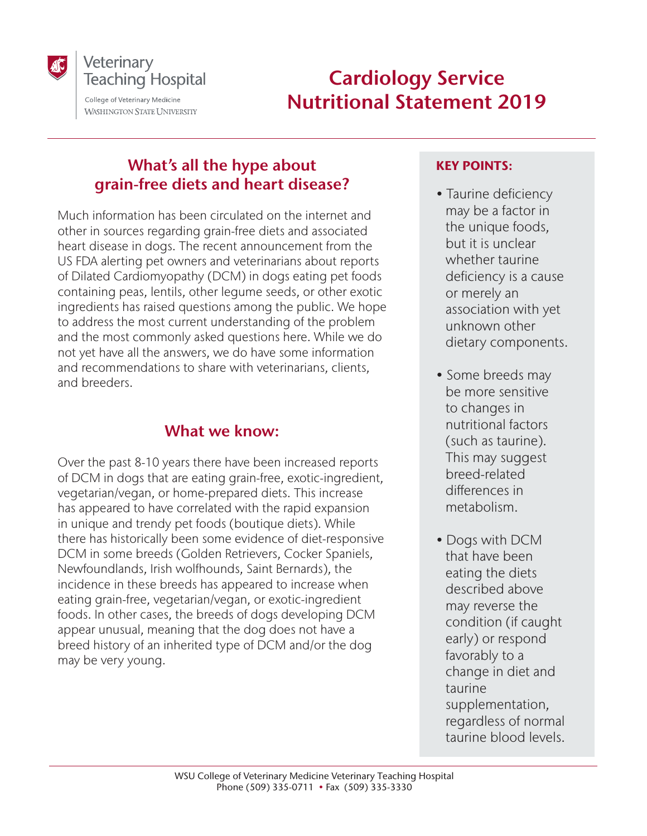

#### Veterinary **Teaching Hospital**

College of Veterinary Medicine **WASHINGTON STATE UNIVERSITY** 

# Cardiology Service Nutritional Statement 2019

## What's all the hype about grain-free diets and heart disease?

Much information has been circulated on the internet and other in sources regarding grain-free diets and associated heart disease in dogs. The recent announcement from the US FDA alerting pet owners and veterinarians about reports of Dilated Cardiomyopathy (DCM) in dogs eating pet foods containing peas, lentils, other legume seeds, or other exotic ingredients has raised questions among the public. We hope to address the most current understanding of the problem and the most commonly asked questions here. While we do not yet have all the answers, we do have some information and recommendations to share with veterinarians, clients, and breeders.

## What we know:

Over the past 8-10 years there have been increased reports of DCM in dogs that are eating grain-free, exotic-ingredient, vegetarian/vegan, or home-prepared diets. This increase has appeared to have correlated with the rapid expansion in unique and trendy pet foods (boutique diets). While there has historically been some evidence of diet-responsive DCM in some breeds (Golden Retrievers, Cocker Spaniels, Newfoundlands, Irish wolfhounds, Saint Bernards), the incidence in these breeds has appeared to increase when eating grain-free, vegetarian/vegan, or exotic-ingredient foods. In other cases, the breeds of dogs developing DCM appear unusual, meaning that the dog does not have a breed history of an inherited type of DCM and/or the dog may be very young.

### KEY POINTS:

- Taurine deficiency may be a factor in the unique foods, but it is unclear whether taurine deficiency is a cause or merely an association with yet unknown other dietary components.
- Some breeds may be more sensitive to changes in nutritional factors (such as taurine). This may suggest breed-related diferences in metabolism.
- Dogs with DCM that have been eating the diets described above may reverse the condition (if caught early) or respond favorably to a change in diet and taurine supplementation, regardless of normal taurine blood levels.